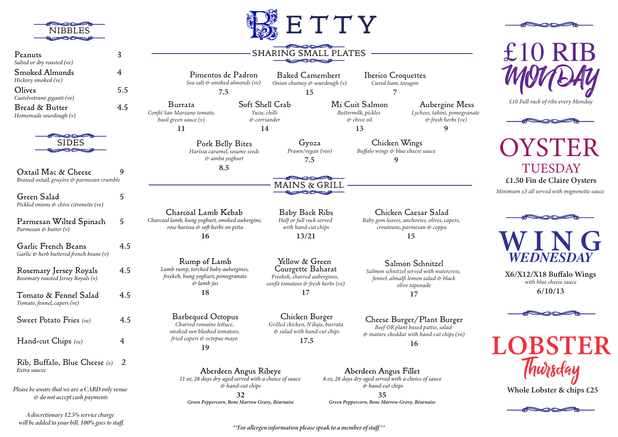|                                                                                              |     |                                                                                                                   |                                                 | ETTY                                                                                                      |                                       |
|----------------------------------------------------------------------------------------------|-----|-------------------------------------------------------------------------------------------------------------------|-------------------------------------------------|-----------------------------------------------------------------------------------------------------------|---------------------------------------|
| Peanuts<br>Salted or dry roasted (ve)                                                        | 3   |                                                                                                                   |                                                 | <b>SHARING SMALL PLATES</b>                                                                               |                                       |
| Smoked Almonds<br>Hickory smoked (ve)                                                        | 4   | Pimentos de Padron<br>Sea salt & smoked almonds (ve)                                                              |                                                 | <b>Baked Camembert</b><br>Onion chutney & sourdough (v)                                                   |                                       |
| Olives<br>Castelvetrano giganti (ve)                                                         | 5.5 | 7.5                                                                                                               |                                                 | 15                                                                                                        |                                       |
| Bread & Butter<br>Homemade sourdough $(v)$                                                   | 4.5 | Burrata<br>Confit San Marzano tomato,<br>basil green sauce (v)                                                    | Soft Shell Crab<br>Yuzu, chilli<br>& corriander |                                                                                                           | Mi Cuit S<br>Buttermilk, p<br>& chive |
|                                                                                              |     | 11                                                                                                                | 14                                              |                                                                                                           | 13                                    |
|                                                                                              |     | Pork Belly Bites<br>Harissa caramel, sesame seeds<br>& amba yoghurt                                               |                                                 | Gyoza<br>Prawn/vegan (veo)<br>7.5                                                                         | $But\int$                             |
| Oxtail Mac & Cheese<br>Braised oxtail, gruyère & parmesan crumble                            | 9   | 8.5                                                                                                               |                                                 |                                                                                                           |                                       |
| Green Salad                                                                                  | 5   |                                                                                                                   |                                                 | MAINS & GR                                                                                                |                                       |
| Pickled onions & chive citronette (ve)<br>Parmesan Wilted Spinach<br>Parmesan & butter $(v)$ | 5   | Charcoal Lamb Kebab<br>Charcoal lamb, hung yoghurt, smoked aubergine,<br>rose harissa & soft herbs on pitta<br>16 |                                                 | Baby Back Ribs<br>Half or full rack served<br>with hand-cut chips<br>13/21                                | $\boldsymbol{B}$                      |
| Garlic French Beans<br>Garlic $\mathfrak{G}$ herb buttered french beans (v)                  | 4.5 |                                                                                                                   |                                                 |                                                                                                           |                                       |
| Rosemary Jersey Royals<br>Rosemary roasted Jersey Royals (v)                                 | 4.5 | Rump of Lamb<br>Lamb rump, torched baby aubergines,<br>freekeh, hung yoghurt, pomegranate<br>& lamb jus           |                                                 | Yellow & Green<br>Courgette Baharat<br>Freekeh, charred aubergines,<br>confit tomatoes & fresh herbs (ve) |                                       |
| Tomato & Fennel Salad                                                                        | 4.5 | 18                                                                                                                |                                                 | 17                                                                                                        |                                       |

 4.5

 $(e)$  4

Barbequed Octopus Charred romaine lettuce, *-*  fried capers & octopus mayo 19

> Aberdeen Angus Ribeye 11 oz, 28 days dry aged served with a choice of sauce & hand-cut chips

> > 32 Green Peppercorn, Bone Marrow Gravy, Béarnaise

Chicken Wings Buttermilk, pickles chive oil ت 13

Mi Cuit Salmon

E T T Y

Chicken Burger Grilled chicken, N'duja, burrata త salad with hand-cut chips 17.5

Buffalo wings & blue cheese sauce  $\mathbf Q$ 

Iberico Croquettes Cured ham, taragon  $\overline{7}$ 

> Aubergine Mess Lychees, tahini, pomegranate & fresh herbs (ve) 9

Chicken Caesar Salad Baby gem leaves, anchovies, olives, capers, croutouns, parmesan & coppa 15

Salmon Schnitzel Salmon schnitzel served with watercress, fennel, almalfi lemon salad & black  17

Cheese Burger/Plant Burger Beef OR plant based pattie, salad  $\phi$  mature cheddar with hand-cut chips (vo) 16

Aberdeen Angus Fillet 8 oz, 28 days dry aged served with a choice of sauce & hand-cut chips

35 Green Peppercorn, Bone Marrow Gravy, Béarnaise MONDAY £10 Full rack of ribs every Monday

£10 RIB



OYSTER **TUESDAY** Minimum x3 all served with mignonette sauce £1.50 Fin de Claire Oysters



X6/X12/X18 Buffalo Wings with blue cheese sauce  $6/10/13$ 



LOBST Thursday

Whole Lobster & chips £25



\*\*For allergen information please speak to a member of staff\*\*

A discretionary 12.5% service charge will be added to your bill. 100% goes to staff.

Rib, Buffalo, Blue Cheese  2

*Please be aware that we are a CARD only venue*  $\phi$  *do not accept cash payments* 

Hand-cut Chips 

Extra sauces

Sweet Potato Fries